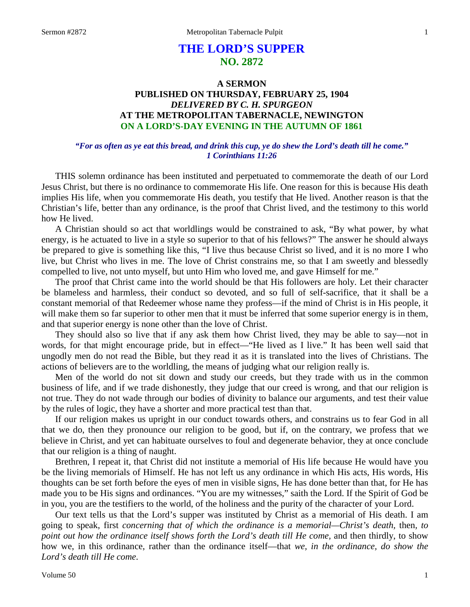# **THE LORD'S SUPPER NO. 2872**

## **A SERMON PUBLISHED ON THURSDAY, FEBRUARY 25, 1904** *DELIVERED BY C. H. SPURGEON* **AT THE METROPOLITAN TABERNACLE, NEWINGTON ON A LORD'S-DAY EVENING IN THE AUTUMN OF 1861**

#### *"For as often as ye eat this bread, and drink this cup, ye do shew the Lord's death till he come." 1 Corinthians 11:26*

THIS solemn ordinance has been instituted and perpetuated to commemorate the death of our Lord Jesus Christ, but there is no ordinance to commemorate His life. One reason for this is because His death implies His life, when you commemorate His death, you testify that He lived. Another reason is that the Christian's life, better than any ordinance, is the proof that Christ lived, and the testimony to this world how He lived.

A Christian should so act that worldlings would be constrained to ask, "By what power, by what energy, is he actuated to live in a style so superior to that of his fellows?" The answer he should always be prepared to give is something like this, "I live thus because Christ so lived, and it is no more I who live, but Christ who lives in me. The love of Christ constrains me, so that I am sweetly and blessedly compelled to live, not unto myself, but unto Him who loved me, and gave Himself for me."

The proof that Christ came into the world should be that His followers are holy. Let their character be blameless and harmless, their conduct so devoted, and so full of self-sacrifice, that it shall be a constant memorial of that Redeemer whose name they profess—if the mind of Christ is in His people, it will make them so far superior to other men that it must be inferred that some superior energy is in them, and that superior energy is none other than the love of Christ.

They should also so live that if any ask them how Christ lived, they may be able to say—not in words, for that might encourage pride, but in effect—"He lived as I live." It has been well said that ungodly men do not read the Bible, but they read it as it is translated into the lives of Christians. The actions of believers are to the worldling, the means of judging what our religion really is.

Men of the world do not sit down and study our creeds, but they trade with us in the common business of life, and if we trade dishonestly, they judge that our creed is wrong, and that our religion is not true. They do not wade through our bodies of divinity to balance our arguments, and test their value by the rules of logic, they have a shorter and more practical test than that.

If our religion makes us upright in our conduct towards others, and constrains us to fear God in all that we do, then they pronounce our religion to be good, but if, on the contrary, we profess that we believe in Christ, and yet can habituate ourselves to foul and degenerate behavior, they at once conclude that our religion is a thing of naught.

Brethren, I repeat it, that Christ did not institute a memorial of His life because He would have you be the living memorials of Himself. He has not left us any ordinance in which His acts, His words, His thoughts can be set forth before the eyes of men in visible signs, He has done better than that, for He has made you to be His signs and ordinances. "You are my witnesses," saith the Lord. If the Spirit of God be in you, you are the testifiers to the world, of the holiness and the purity of the character of your Lord.

Our text tells us that the Lord's supper was instituted by Christ as a memorial of His death. I am going to speak, first *concerning that of which the ordinance is a memorial—Christ's death,* then*, to point out how the ordinance itself shows forth the Lord's death till He come,* and then thirdly, to show how we, in this ordinance, rather than the ordinance itself—that *we, in the ordinance, do show the Lord's death till He come*.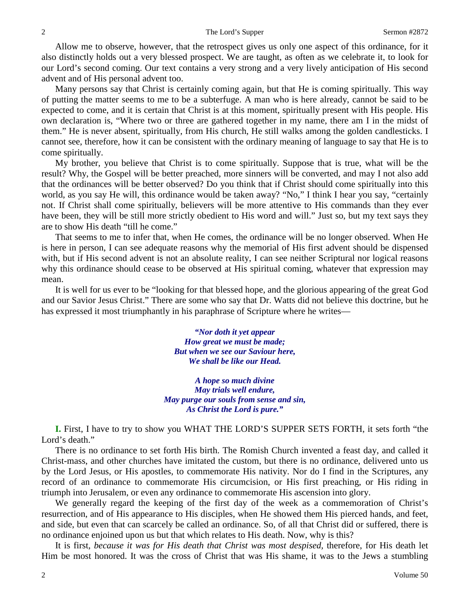Allow me to observe, however, that the retrospect gives us only one aspect of this ordinance, for it also distinctly holds out a very blessed prospect. We are taught, as often as we celebrate it, to look for our Lord's second coming. Our text contains a very strong and a very lively anticipation of His second advent and of His personal advent too.

Many persons say that Christ is certainly coming again, but that He is coming spiritually. This way of putting the matter seems to me to be a subterfuge. A man who is here already, cannot be said to be expected to come, and it is certain that Christ is at this moment, spiritually present with His people. His own declaration is, "Where two or three are gathered together in my name, there am I in the midst of them." He is never absent, spiritually, from His church, He still walks among the golden candlesticks. I cannot see, therefore, how it can be consistent with the ordinary meaning of language to say that He is to come spiritually.

My brother, you believe that Christ is to come spiritually. Suppose that is true, what will be the result? Why, the Gospel will be better preached, more sinners will be converted, and may I not also add that the ordinances will be better observed? Do you think that if Christ should come spiritually into this world, as you say He will, this ordinance would be taken away? "No," I think I hear you say, "certainly not. If Christ shall come spiritually, believers will be more attentive to His commands than they ever have been, they will be still more strictly obedient to His word and will." Just so, but my text says they are to show His death "till he come."

That seems to me to infer that, when He comes, the ordinance will be no longer observed. When He is here in person, I can see adequate reasons why the memorial of His first advent should be dispensed with, but if His second advent is not an absolute reality, I can see neither Scriptural nor logical reasons why this ordinance should cease to be observed at His spiritual coming, whatever that expression may mean.

It is well for us ever to be "looking for that blessed hope, and the glorious appearing of the great God and our Savior Jesus Christ." There are some who say that Dr. Watts did not believe this doctrine, but he has expressed it most triumphantly in his paraphrase of Scripture where he writes—

> *"Nor doth it yet appear How great we must be made; But when we see our Saviour here, We shall be like our Head.*

*A hope so much divine May trials well endure, May purge our souls from sense and sin, As Christ the Lord is pure."*

**I.** First, I have to try to show you WHAT THE LORD'S SUPPER SETS FORTH, it sets forth "the Lord's death."

There is no ordinance to set forth His birth. The Romish Church invented a feast day, and called it Christ-mass, and other churches have imitated the custom, but there is no ordinance, delivered unto us by the Lord Jesus, or His apostles, to commemorate His nativity. Nor do I find in the Scriptures, any record of an ordinance to commemorate His circumcision, or His first preaching, or His riding in triumph into Jerusalem, or even any ordinance to commemorate His ascension into glory.

We generally regard the keeping of the first day of the week as a commemoration of Christ's resurrection, and of His appearance to His disciples, when He showed them His pierced hands, and feet, and side, but even that can scarcely be called an ordinance. So, of all that Christ did or suffered, there is no ordinance enjoined upon us but that which relates to His death. Now, why is this?

It is first*, because it was for His death that Christ was most despised,* therefore, for His death let Him be most honored. It was the cross of Christ that was His shame, it was to the Jews a stumbling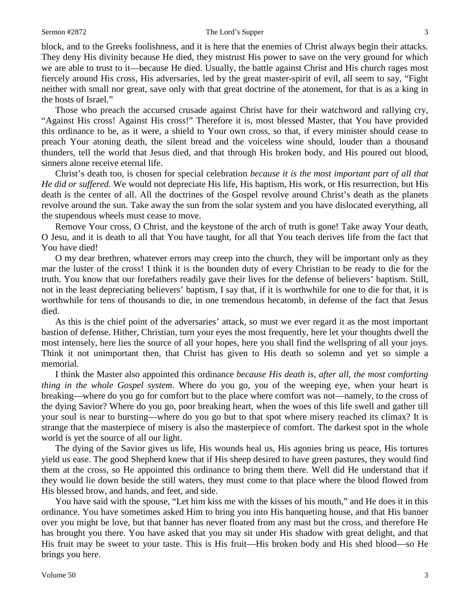block, and to the Greeks foolishness, and it is here that the enemies of Christ always begin their attacks. They deny His divinity because He died, they mistrust His power to save on the very ground for which we are able to trust to it—because He died. Usually, the battle against Christ and His church rages most fiercely around His cross, His adversaries, led by the great master-spirit of evil, all seem to say, "Fight neither with small nor great, save only with that great doctrine of the atonement, for that is as a king in the hosts of Israel."

Those who preach the accursed crusade against Christ have for their watchword and rallying cry, "Against His cross! Against His cross!" Therefore it is, most blessed Master, that You have provided this ordinance to be, as it were, a shield to Your own cross, so that, if every minister should cease to preach Your atoning death, the silent bread and the voiceless wine should, louder than a thousand thunders, tell the world that Jesus died, and that through His broken body, and His poured out blood, sinners alone receive eternal life.

Christ's death too, is chosen for special celebration *because it is the most important part of all that He did or suffered*. We would not depreciate His life, His baptism, His work, or His resurrection, but His death is the center of all. All the doctrines of the Gospel revolve around Christ's death as the planets revolve around the sun. Take away the sun from the solar system and you have dislocated everything, all the stupendous wheels must cease to move.

Remove Your cross, O Christ, and the keystone of the arch of truth is gone! Take away Your death, O Jesu, and it is death to all that You have taught, for all that You teach derives life from the fact that You have died!

O my dear brethren, whatever errors may creep into the church, they will be important only as they mar the luster of the cross! I think it is the bounden duty of every Christian to be ready to die for the truth. You know that our forefathers readily gave their lives for the defense of believers' baptism. Still, not in the least depreciating believers' baptism, I say that, if it is worthwhile for one to die for that, it is worthwhile for tens of thousands to die, in one tremendous hecatomb, in defense of the fact that Jesus died.

As this is the chief point of the adversaries' attack, so must we ever regard it as the most important bastion of defense. Hither, Christian, turn your eyes the most frequently, here let your thoughts dwell the most intensely, here lies the source of all your hopes, here you shall find the wellspring of all your joys. Think it not unimportant then, that Christ has given to His death so solemn and yet so simple a memorial.

I think the Master also appointed this ordinance *because His death is, after all, the most comforting thing in the whole Gospel system*. Where do you go, you of the weeping eye, when your heart is breaking—where do you go for comfort but to the place where comfort was not—namely, to the cross of the dying Savior? Where do you go, poor breaking heart, when the woes of this life swell and gather till your soul is near to bursting—where do you go but to that spot where misery reached its climax? It is strange that the masterpiece of misery is also the masterpiece of comfort. The darkest spot in the whole world is yet the source of all our light.

The dying of the Savior gives us life, His wounds heal us, His agonies bring us peace, His tortures yield us ease. The good Shepherd knew that if His sheep desired to have green pastures, they would find them at the cross, so He appointed this ordinance to bring them there. Well did He understand that if they would lie down beside the still waters, they must come to that place where the blood flowed from His blessed brow, and hands, and feet, and side.

You have said with the spouse, "Let him kiss me with the kisses of his mouth," and He does it in this ordinance. You have sometimes asked Him to bring you into His banqueting house, and that His banner over you might be love, but that banner has never floated from any mast but the cross, and therefore He has brought you there. You have asked that you may sit under His shadow with great delight, and that His fruit may be sweet to your taste. This is His fruit—His broken body and His shed blood—so He brings you here.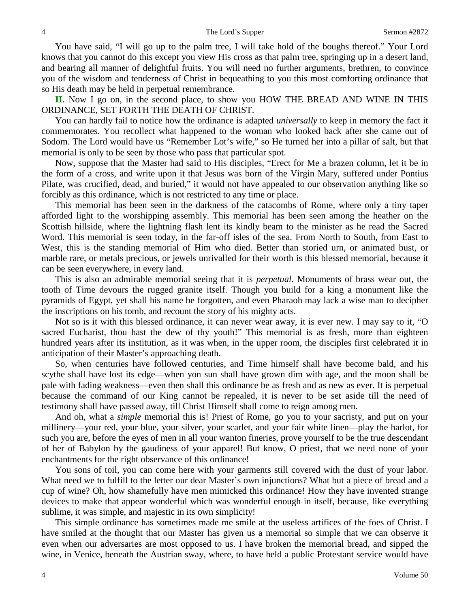You have said, "I will go up to the palm tree, I will take hold of the boughs thereof." Your Lord knows that you cannot do this except you view His cross as that palm tree, springing up in a desert land, and bearing all manner of delightful fruits. You will need no further arguments, brethren, to convince you of the wisdom and tenderness of Christ in bequeathing to you this most comforting ordinance that so His death may be held in perpetual remembrance.

**II.** Now I go on, in the second place, to show you HOW THE BREAD AND WINE IN THIS ORDINANCE, SET FORTH THE DEATH OF CHRIST.

You can hardly fail to notice how the ordinance is adapted *universally* to keep in memory the fact it commemorates. You recollect what happened to the woman who looked back after she came out of Sodom. The Lord would have us "Remember Lot's wife," so He turned her into a pillar of salt, but that memorial is only to be seen by those who pass that particular spot.

Now, suppose that the Master had said to His disciples, "Erect for Me a brazen column, let it be in the form of a cross, and write upon it that Jesus was born of the Virgin Mary, suffered under Pontius Pilate, was crucified, dead, and buried," it would not have appealed to our observation anything like so forcibly as this ordinance, which is not restricted to any time or place.

This memorial has been seen in the darkness of the catacombs of Rome, where only a tiny taper afforded light to the worshipping assembly. This memorial has been seen among the heather on the Scottish hillside, where the lightning flash lent its kindly beam to the minister as he read the Sacred Word. This memorial is seen today, in the far-off isles of the sea. From North to South, from East to West, this is the standing memorial of Him who died. Better than storied urn, or animated bust, or marble rare, or metals precious, or jewels unrivalled for their worth is this blessed memorial, because it can be seen everywhere, in every land.

This is also an admirable memorial seeing that it is *perpetual*. Monuments of brass wear out, the tooth of Time devours the rugged granite itself. Though you build for a king a monument like the pyramids of Egypt, yet shall his name be forgotten, and even Pharaoh may lack a wise man to decipher the inscriptions on his tomb, and recount the story of his mighty acts.

Not so is it with this blessed ordinance, it can never wear away, it is ever new. I may say to it, "O sacred Eucharist, thou hast the dew of thy youth!" This memorial is as fresh, more than eighteen hundred years after its institution, as it was when, in the upper room, the disciples first celebrated it in anticipation of their Master's approaching death.

So, when centuries have followed centuries, and Time himself shall have become bald, and his scythe shall have lost its edge—when yon sun shall have grown dim with age, and the moon shall be pale with fading weakness—even then shall this ordinance be as fresh and as new as ever. It is perpetual because the command of our King cannot be repealed, it is never to be set aside till the need of testimony shall have passed away, till Christ Himself shall come to reign among men.

And oh, what a *simple* memorial this is! Priest of Rome, go you to your sacristy, and put on your millinery—your red, your blue, your silver, your scarlet, and your fair white linen—play the harlot, for such you are, before the eyes of men in all your wanton fineries, prove yourself to be the true descendant of her of Babylon by the gaudiness of your apparel! But know, O priest, that we need none of your enchantments for the right observance of this ordinance!

You sons of toil, you can come here with your garments still covered with the dust of your labor. What need we to fulfill to the letter our dear Master's own injunctions? What but a piece of bread and a cup of wine? Oh, how shamefully have men mimicked this ordinance! How they have invented strange devices to make that appear wonderful which was wonderful enough in itself, because, like everything sublime, it was simple, and majestic in its own simplicity!

This simple ordinance has sometimes made me smile at the useless artifices of the foes of Christ. I have smiled at the thought that our Master has given us a memorial so simple that we can observe it even when our adversaries are most opposed to us. I have broken the memorial bread, and sipped the wine, in Venice, beneath the Austrian sway, where, to have held a public Protestant service would have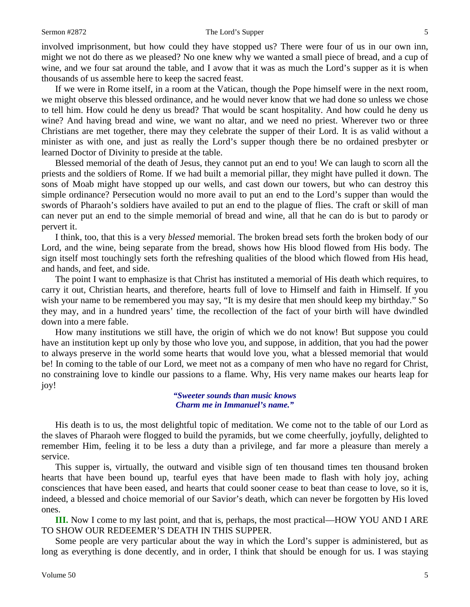involved imprisonment, but how could they have stopped us? There were four of us in our own inn, might we not do there as we pleased? No one knew why we wanted a small piece of bread, and a cup of wine, and we four sat around the table, and I avow that it was as much the Lord's supper as it is when thousands of us assemble here to keep the sacred feast.

If we were in Rome itself, in a room at the Vatican, though the Pope himself were in the next room, we might observe this blessed ordinance, and he would never know that we had done so unless we chose to tell him. How could he deny us bread? That would be scant hospitality. And how could he deny us wine? And having bread and wine, we want no altar, and we need no priest. Wherever two or three Christians are met together, there may they celebrate the supper of their Lord. It is as valid without a minister as with one, and just as really the Lord's supper though there be no ordained presbyter or learned Doctor of Divinity to preside at the table.

Blessed memorial of the death of Jesus, they cannot put an end to you! We can laugh to scorn all the priests and the soldiers of Rome. If we had built a memorial pillar, they might have pulled it down. The sons of Moab might have stopped up our wells, and cast down our towers, but who can destroy this simple ordinance? Persecution would no more avail to put an end to the Lord's supper than would the swords of Pharaoh's soldiers have availed to put an end to the plague of flies. The craft or skill of man can never put an end to the simple memorial of bread and wine, all that he can do is but to parody or pervert it.

I think, too, that this is a very *blessed* memorial. The broken bread sets forth the broken body of our Lord, and the wine, being separate from the bread, shows how His blood flowed from His body. The sign itself most touchingly sets forth the refreshing qualities of the blood which flowed from His head, and hands, and feet, and side.

The point I want to emphasize is that Christ has instituted a memorial of His death which requires, to carry it out, Christian hearts, and therefore, hearts full of love to Himself and faith in Himself. If you wish your name to be remembered you may say, "It is my desire that men should keep my birthday." So they may, and in a hundred years' time, the recollection of the fact of your birth will have dwindled down into a mere fable.

How many institutions we still have, the origin of which we do not know! But suppose you could have an institution kept up only by those who love you, and suppose, in addition, that you had the power to always preserve in the world some hearts that would love you, what a blessed memorial that would be! In coming to the table of our Lord, we meet not as a company of men who have no regard for Christ, no constraining love to kindle our passions to a flame. Why, His very name makes our hearts leap for joy!

> *"Sweeter sounds than music knows Charm me in Immanuel's name."*

His death is to us, the most delightful topic of meditation. We come not to the table of our Lord as the slaves of Pharaoh were flogged to build the pyramids, but we come cheerfully, joyfully, delighted to remember Him, feeling it to be less a duty than a privilege, and far more a pleasure than merely a service.

This supper is, virtually, the outward and visible sign of ten thousand times ten thousand broken hearts that have been bound up, tearful eyes that have been made to flash with holy joy, aching consciences that have been eased, and hearts that could sooner cease to beat than cease to love, so it is, indeed, a blessed and choice memorial of our Savior's death, which can never be forgotten by His loved ones.

**III.** Now I come to my last point, and that is, perhaps, the most practical—HOW YOU AND I ARE TO SHOW OUR REDEEMER'S DEATH IN THIS SUPPER.

Some people are very particular about the way in which the Lord's supper is administered, but as long as everything is done decently, and in order, I think that should be enough for us. I was staying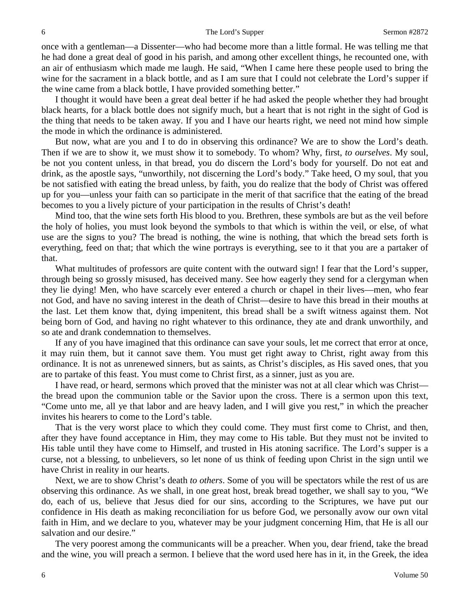once with a gentleman—a Dissenter—who had become more than a little formal. He was telling me that he had done a great deal of good in his parish, and among other excellent things, he recounted one, with an air of enthusiasm which made me laugh. He said, "When I came here these people used to bring the wine for the sacrament in a black bottle, and as I am sure that I could not celebrate the Lord's supper if the wine came from a black bottle, I have provided something better."

I thought it would have been a great deal better if he had asked the people whether they had brought black hearts, for a black bottle does not signify much, but a heart that is not right in the sight of God is the thing that needs to be taken away. If you and I have our hearts right, we need not mind how simple the mode in which the ordinance is administered.

But now, what are you and I to do in observing this ordinance? We are to show the Lord's death. Then if we are to show it, we must show it to somebody. To whom? Why, first, *to ourselves*. My soul, be not you content unless, in that bread, you do discern the Lord's body for yourself. Do not eat and drink, as the apostle says, "unworthily, not discerning the Lord's body." Take heed, O my soul, that you be not satisfied with eating the bread unless, by faith, you do realize that the body of Christ was offered up for you—unless your faith can so participate in the merit of that sacrifice that the eating of the bread becomes to you a lively picture of your participation in the results of Christ's death!

Mind too, that the wine sets forth His blood to you. Brethren, these symbols are but as the veil before the holy of holies, you must look beyond the symbols to that which is within the veil, or else, of what use are the signs to you? The bread is nothing, the wine is nothing, that which the bread sets forth is everything, feed on that; that which the wine portrays is everything, see to it that you are a partaker of that.

What multitudes of professors are quite content with the outward sign! I fear that the Lord's supper, through being so grossly misused, has deceived many. See how eagerly they send for a clergyman when they lie dying! Men, who have scarcely ever entered a church or chapel in their lives—men, who fear not God, and have no saving interest in the death of Christ—desire to have this bread in their mouths at the last. Let them know that, dying impenitent, this bread shall be a swift witness against them. Not being born of God, and having no right whatever to this ordinance, they ate and drank unworthily, and so ate and drank condemnation to themselves.

If any of you have imagined that this ordinance can save your souls, let me correct that error at once, it may ruin them, but it cannot save them. You must get right away to Christ, right away from this ordinance. It is not as unrenewed sinners, but as saints, as Christ's disciples, as His saved ones, that you are to partake of this feast. You must come to Christ first, as a sinner, just as you are.

I have read, or heard, sermons which proved that the minister was not at all clear which was Christ the bread upon the communion table or the Savior upon the cross. There is a sermon upon this text, "Come unto me, all ye that labor and are heavy laden, and I will give you rest," in which the preacher invites his hearers to come to the Lord's table.

That is the very worst place to which they could come. They must first come to Christ, and then, after they have found acceptance in Him, they may come to His table. But they must not be invited to His table until they have come to Himself, and trusted in His atoning sacrifice. The Lord's supper is a curse, not a blessing, to unbelievers, so let none of us think of feeding upon Christ in the sign until we have Christ in reality in our hearts.

Next, we are to show Christ's death *to others*. Some of you will be spectators while the rest of us are observing this ordinance. As we shall, in one great host, break bread together, we shall say to you, "We do, each of us, believe that Jesus died for our sins, according to the Scriptures, we have put our confidence in His death as making reconciliation for us before God, we personally avow our own vital faith in Him, and we declare to you, whatever may be your judgment concerning Him, that He is all our salvation and our desire."

The very poorest among the communicants will be a preacher. When you, dear friend, take the bread and the wine, you will preach a sermon. I believe that the word used here has in it, in the Greek, the idea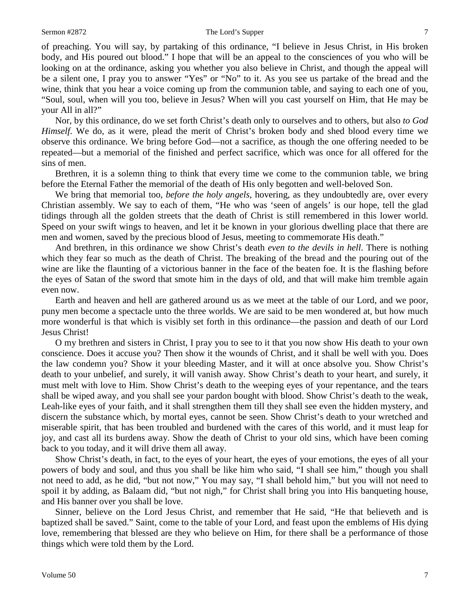of preaching. You will say, by partaking of this ordinance, "I believe in Jesus Christ, in His broken body, and His poured out blood." I hope that will be an appeal to the consciences of you who will be looking on at the ordinance, asking you whether you also believe in Christ, and though the appeal will be a silent one, I pray you to answer "Yes" or "No" to it. As you see us partake of the bread and the wine, think that you hear a voice coming up from the communion table, and saying to each one of you, "Soul, soul, when will you too, believe in Jesus? When will you cast yourself on Him, that He may be your All in all?"

Nor, by this ordinance, do we set forth Christ's death only to ourselves and to others, but also *to God Himself.* We do, as it were, plead the merit of Christ's broken body and shed blood every time we observe this ordinance. We bring before God—not a sacrifice, as though the one offering needed to be repeated—but a memorial of the finished and perfect sacrifice, which was once for all offered for the sins of men.

Brethren, it is a solemn thing to think that every time we come to the communion table, we bring before the Eternal Father the memorial of the death of His only begotten and well-beloved Son.

We bring that memorial too, *before the holy angels,* hovering, as they undoubtedly are, over every Christian assembly. We say to each of them, "He who was 'seen of angels' is our hope, tell the glad tidings through all the golden streets that the death of Christ is still remembered in this lower world. Speed on your swift wings to heaven, and let it be known in your glorious dwelling place that there are men and women, saved by the precious blood of Jesus, meeting to commemorate His death."

And brethren, in this ordinance we show Christ's death *even to the devils in hell*. There is nothing which they fear so much as the death of Christ. The breaking of the bread and the pouring out of the wine are like the flaunting of a victorious banner in the face of the beaten foe. It is the flashing before the eyes of Satan of the sword that smote him in the days of old, and that will make him tremble again even now.

Earth and heaven and hell are gathered around us as we meet at the table of our Lord, and we poor, puny men become a spectacle unto the three worlds. We are said to be men wondered at, but how much more wonderful is that which is visibly set forth in this ordinance—the passion and death of our Lord Jesus Christ!

O my brethren and sisters in Christ, I pray you to see to it that you now show His death to your own conscience. Does it accuse you? Then show it the wounds of Christ, and it shall be well with you. Does the law condemn you? Show it your bleeding Master, and it will at once absolve you. Show Christ's death to your unbelief, and surely, it will vanish away. Show Christ's death to your heart, and surely, it must melt with love to Him. Show Christ's death to the weeping eyes of your repentance, and the tears shall be wiped away, and you shall see your pardon bought with blood. Show Christ's death to the weak, Leah-like eyes of your faith, and it shall strengthen them till they shall see even the hidden mystery, and discern the substance which, by mortal eyes, cannot be seen. Show Christ's death to your wretched and miserable spirit, that has been troubled and burdened with the cares of this world, and it must leap for joy, and cast all its burdens away. Show the death of Christ to your old sins, which have been coming back to you today, and it will drive them all away.

Show Christ's death, in fact, to the eyes of your heart, the eyes of your emotions, the eyes of all your powers of body and soul, and thus you shall be like him who said, "I shall see him," though you shall not need to add, as he did, "but not now," You may say, "I shall behold him," but you will not need to spoil it by adding, as Balaam did, "but not nigh," for Christ shall bring you into His banqueting house, and His banner over you shall be love.

Sinner, believe on the Lord Jesus Christ, and remember that He said, "He that believeth and is baptized shall be saved." Saint, come to the table of your Lord, and feast upon the emblems of His dying love, remembering that blessed are they who believe on Him, for there shall be a performance of those things which were told them by the Lord.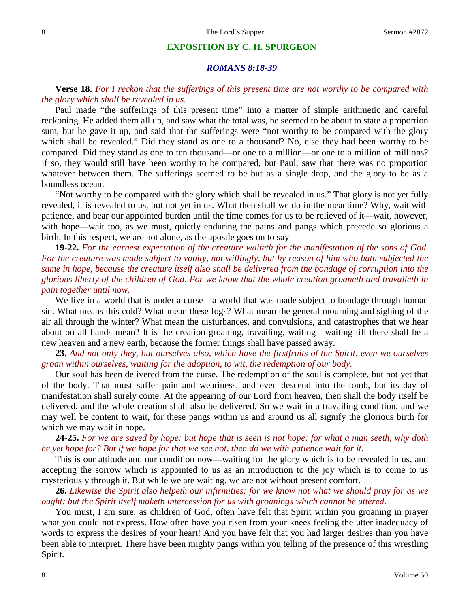#### **EXPOSITION BY C. H. SPURGEON**

#### *ROMANS 8:18-39*

### **Verse 18.** *For I reckon that the sufferings of this present time are not worthy to be compared with the glory which shall be revealed in us.*

Paul made "the sufferings of this present time" into a matter of simple arithmetic and careful reckoning. He added them all up, and saw what the total was, he seemed to be about to state a proportion sum, but he gave it up, and said that the sufferings were "not worthy to be compared with the glory which shall be revealed." Did they stand as one to a thousand? No, else they had been worthy to be compared. Did they stand as one to ten thousand—or one to a million—or one to a million of millions? If so, they would still have been worthy to be compared, but Paul, saw that there was no proportion whatever between them. The sufferings seemed to be but as a single drop, and the glory to be as a boundless ocean.

"Not worthy to be compared with the glory which shall be revealed in us." That glory is not yet fully revealed, it is revealed to us, but not yet in us. What then shall we do in the meantime? Why, wait with patience, and bear our appointed burden until the time comes for us to be relieved of it—wait, however, with hope—wait too, as we must, quietly enduring the pains and pangs which precede so glorious a birth. In this respect, we are not alone, as the apostle goes on to say—

**19-22.** *For the earnest expectation of the creature waiteth for the manifestation of the sons of God. For the creature was made subject to vanity, not willingly, but by reason of him who hath subjected the same in hope, because the creature itself also shall be delivered from the bondage of corruption into the glorious liberty of the children of God. For we know that the whole creation groaneth and travaileth in pain together until now*.

We live in a world that is under a curse—a world that was made subject to bondage through human sin. What means this cold? What mean these fogs? What mean the general mourning and sighing of the air all through the winter? What mean the disturbances, and convulsions, and catastrophes that we hear about on all hands mean? It is the creation groaning, travailing, waiting—waiting till there shall be a new heaven and a new earth, because the former things shall have passed away.

**23.** *And not only they, but ourselves also, which have the firstfruits of the Spirit, even we ourselves groan within ourselves, waiting for the adoption, to wit, the redemption of our body.*

Our soul has been delivered from the curse. The redemption of the soul is complete, but not yet that of the body. That must suffer pain and weariness, and even descend into the tomb, but its day of manifestation shall surely come. At the appearing of our Lord from heaven, then shall the body itself be delivered, and the whole creation shall also be delivered. So we wait in a travailing condition, and we may well be content to wait, for these pangs within us and around us all signify the glorious birth for which we may wait in hope.

**24-25.** *For we are saved by hope: but hope that is seen is not hope: for what a man seeth, why doth he yet hope for? But if we hope for that we see not, then do we with patience wait for it*.

This is our attitude and our condition now—waiting for the glory which is to be revealed in us, and accepting the sorrow which is appointed to us as an introduction to the joy which is to come to us mysteriously through it. But while we are waiting, we are not without present comfort.

**26.** *Likewise the Spirit also helpeth our infirmities: for we know not what we should pray for as we ought: but the Spirit itself maketh intercession for us with groanings which cannot be uttered*.

You must, I am sure, as children of God, often have felt that Spirit within you groaning in prayer what you could not express. How often have you risen from your knees feeling the utter inadequacy of words to express the desires of your heart! And you have felt that you had larger desires than you have been able to interpret. There have been mighty pangs within you telling of the presence of this wrestling Spirit.